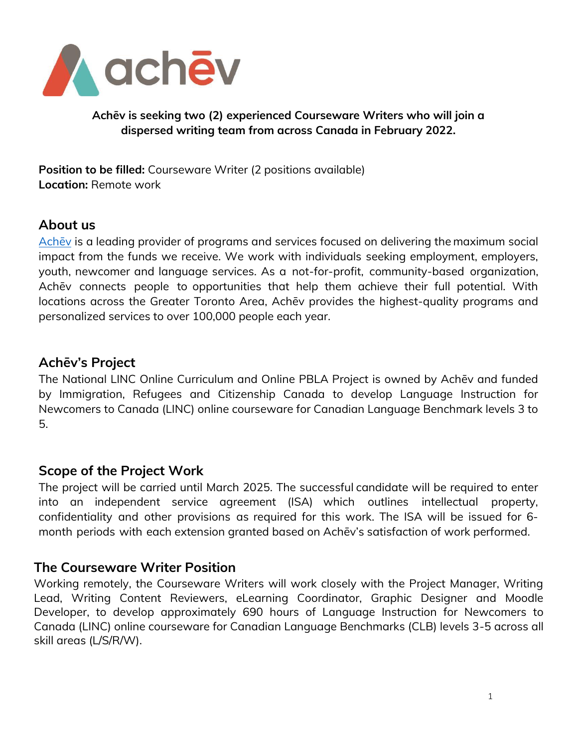

**Achēv is seeking two (2) experienced Courseware Writers who will join a dispersed writing team from across Canada in February 2022.**

**Position to be filled:** Courseware Writer (2 positions available) **Location:** Remote work

## **About us**

Achev is a leading provider of programs and services focused on delivering the maximum social impact from the funds we receive. We work with individuals seeking employment, employers, youth, newcomer and language services. As a not-for-profit, community-based organization, Achēv connects people to opportunities that help them achieve their full potential. With locations across the Greater Toronto Area, Achēv provides the highest-quality programs and personalized services to over 100,000 people each year.

# **Achēv's Project**

The National LINC Online Curriculum and Online PBLA Project is owned by Achēv and funded by Immigration, Refugees and Citizenship Canada to develop Language Instruction for Newcomers to Canada (LINC) online courseware for Canadian Language Benchmark levels 3 to 5.

### **Scope of the Project Work**

The project will be carried until March 2025. The successful candidate will be required to enter into an independent service agreement (ISA) which outlines intellectual property, confidentiality and other provisions as required for this work. The ISA will be issued for 6 month periods with each extension granted based on Achēv's satisfaction of work performed.

### **The Courseware Writer Position**

Working remotely, the Courseware Writers will work closely with the Project Manager, Writing Lead, Writing Content Reviewers, eLearning Coordinator, Graphic Designer and Moodle Developer, to develop approximately 690 hours of Language Instruction for Newcomers to Canada (LINC) online courseware for Canadian Language Benchmarks (CLB) levels 3-5 across all skill areas (L/S/R/W).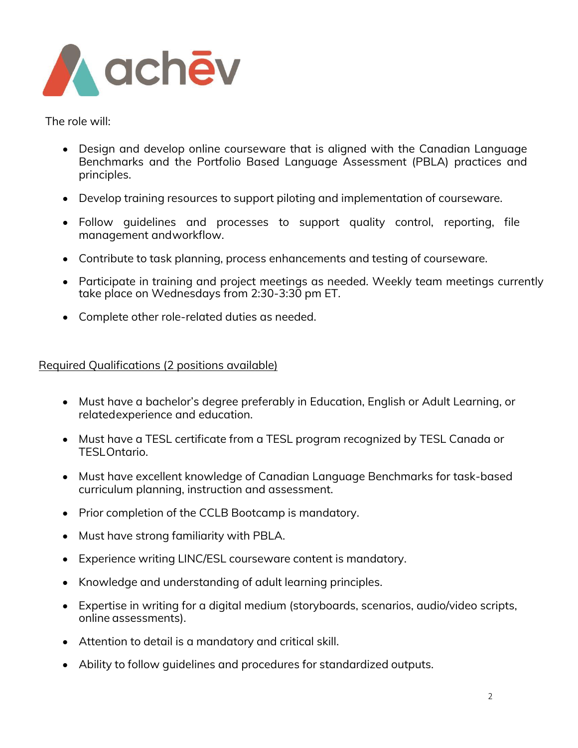

The role will:

- Design and develop online courseware that is aligned with the Canadian Language Benchmarks and the Portfolio Based Language Assessment (PBLA) practices and principles.
- Develop training resources to support piloting and implementation of courseware.
- Follow guidelines and processes to support quality control, reporting, file management andworkflow.
- Contribute to task planning, process enhancements and testing of courseware.
- Participate in training and project meetings as needed. Weekly team meetings currently take place on Wednesdays from 2:30-3:30 pm ET.
- Complete other role-related duties as needed.

#### Required Qualifications (2 positions available)

- Must have a bachelor's degree preferably in Education, English or Adult Learning, or related experience and education.
- Must have a TESL certificate from a TESL program recognized by TESL Canada or TESL Ontario.
- Must have excellent knowledge of Canadian Language Benchmarks for task-based curriculum planning, instruction and assessment.
- Prior completion of the CCLB Bootcamp is mandatory.
- Must have strong familiarity with PBLA.
- Experience writing LINC/ESL courseware content is mandatory.
- Knowledge and understanding of adult learning principles.
- Expertise in writing for a digital medium (storyboards, scenarios, audio/video scripts, online assessments).
- Attention to detail is a mandatory and critical skill.
- Ability to follow guidelines and procedures for standardized outputs.